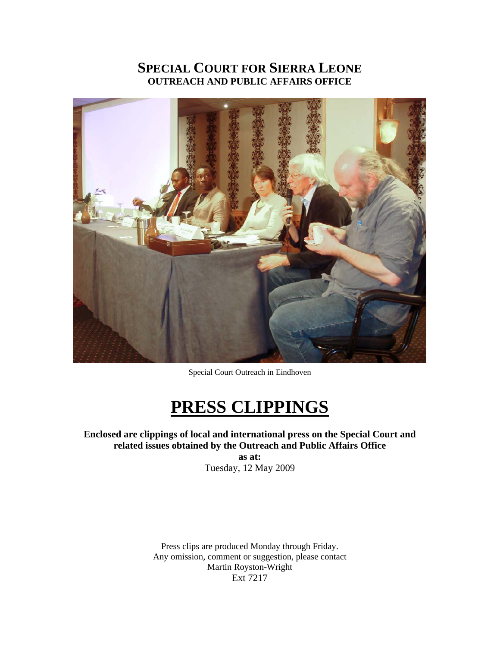# **SPECIAL COURT FOR SIERRA LEONE OUTREACH AND PUBLIC AFFAIRS OFFICE**



Special Court Outreach in Eindhoven

# **PRESS CLIPPINGS**

# **Enclosed are clippings of local and international press on the Special Court and related issues obtained by the Outreach and Public Affairs Office**

**as at:**  Tuesday, 12 May 2009

Press clips are produced Monday through Friday. Any omission, comment or suggestion, please contact Martin Royston-Wright Ext 7217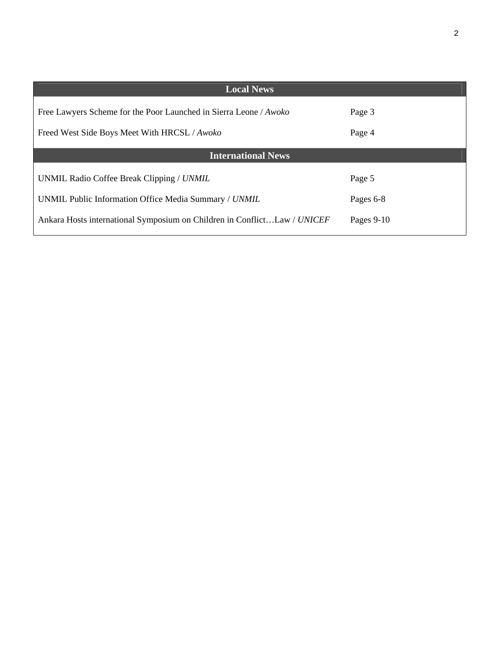| <b>Local News</b>                                                        |              |
|--------------------------------------------------------------------------|--------------|
| Free Lawyers Scheme for the Poor Launched in Sierra Leone / Awoko        | Page 3       |
| Freed West Side Boys Meet With HRCSL / Awoko                             | Page 4       |
| <b>International News</b>                                                |              |
| UNMIL Radio Coffee Break Clipping / UNMIL                                | Page 5       |
| UNMIL Public Information Office Media Summary / UNMIL                    | Pages 6-8    |
| Ankara Hosts international Symposium on Children in ConflictLaw / UNICEF | Pages $9-10$ |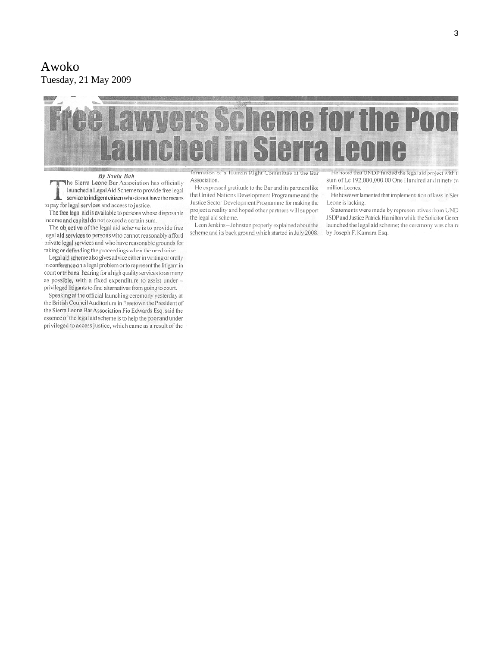#### Awoko Tuesday, 21 May 2009

# ee Lawyers Scheme for the Poor rra Leon STA

#### By Saidu Bah

The Sierra Leone Bar Association has officially launched a Legal Aid Scheme to provide free legal service to indigent citizen who do not have the means to pay for legal services and access to justice.

The free legal aid is available to persons whose disposable income and capital do not exceed a certain sum.

The objective of the legal aid scheme is to provide free legal aid services to persons who cannot reasonably afford private legal services and who have reasonable grounds for taking or defending the proceedings when the need arise

Legal aid scheme also gives advice either in writing or orally in conference on a legal problem or to represent the litigant in court or tribunal hearing for a high quality services to as many as possible, with a fixed expenditure to assist under privileged litigants to find alternatives from going to court.

Speaking at the official launching ceremony yesterday at the British Council Auditorium in Freetown the President of the Sierra Leone Bar Association Fio Edwards Esq. said the essence of the legal aid scheme is to help the poor and under privileged to access justice, which came as a result of the

formation of a Human Right Committee at the Bar Association.

He expressed gratitude to the Bar and its partners like the United Nations Development Programme and the Justice Sector Development Programme for making the project a reality and hoped other partners will support the legal aid scheme.

Leon Jenkins-Johnston properly explained about the scheme and its back ground which started in July 2008.

He noted that UNDP funded the legal aid project with th sum of Le 192,000,000.00 One Hundred and ninety tw million Leones.

He however lamented that implementation of laws in Sier Leone is lacking.

Statements were made by represen atives from UND JSDP and Justice Patrick Hamilton while the Solicitor Gener launched the legal aid scheme; the ceremony was chaire by Joseph F. Kamara Esq.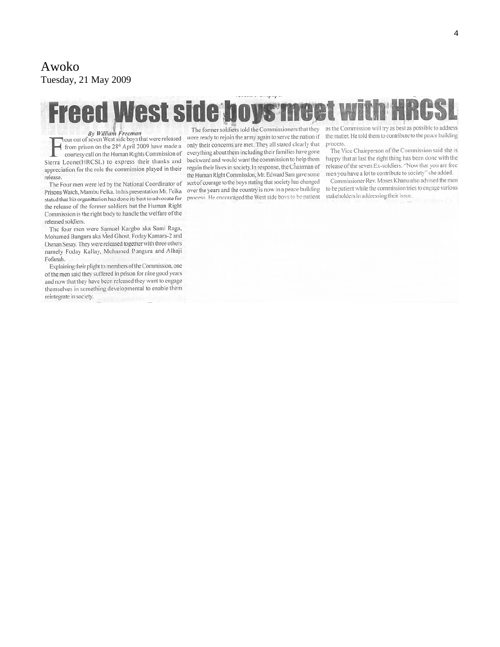#### Awoko Tuesday, 21 May 2009

# **Freed West side ho**

By William Freeman<br>Nour out of seven West side boys that were released from prison on the 28<sup>th</sup> April 2009 have made a courtesy call on the Human Rights Commission of Sierra Leone(HRCSL) to express their thanks and appreciation for the role the commission played in their release.

The Four men were led by the National Coordinator of Prisons Watch, Mambu Feika. In his presentation Mr. Feika stated that his organization has done its best to advocate for the release of the former soldiers but the Human Right Commission is the right body to handle the welfare of the released soldiers.

The four men were Samuel Kargbo aka Sami Raga, Mohamed Bangura aka Med Ghost, Foday Kamara-2 and Osman Sesay. They were released together with three others namely Foday Kallay, Mohamed Bangura and Alhaji Fofanah.

Explaining their plight to members of the Commission, one of the men said they suffered in prison for nine good years and now that they have been released they want to engage themselves in something developmental to enable them reintegrate in society.

The former soldiers told the Commissioners that they were ready to rejoin the army again to serve the nation if only their concerns are met. They all stated clearly that everything about them including their families have gone backward and would want the commission to help them regain their lives in society. In response, the Chairman of the Human Right Commission, Mr. Edward Sam gave some sort of courage to the boys stating that society has changed over the years and the country is now in a peace building process. He encouraged the West side boys to be patient

as the Commission will try as best as possible to address the matter. He told them to contribute to the peace building process.

The Vice Chairperson of the Commission said she is happy that at last the right thing has been done with the release of the seven Ex-soldiers. "Now that you are free men you have a lot to contribute to society" she added.

Commissioner Rev. Moses Khanu also advised the men to be patient while the commission tries to engage various stakeholders in addressing their issue.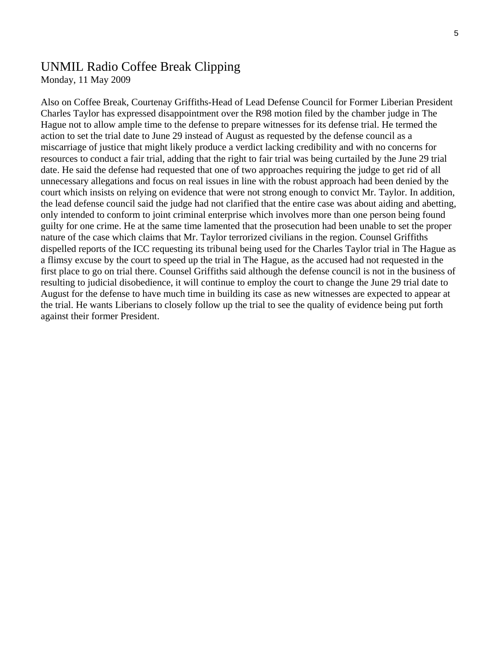# UNMIL Radio Coffee Break Clipping

Monday, 11 May 2009

Also on Coffee Break, Courtenay Griffiths-Head of Lead Defense Council for Former Liberian President Charles Taylor has expressed disappointment over the R98 motion filed by the chamber judge in The Hague not to allow ample time to the defense to prepare witnesses for its defense trial. He termed the action to set the trial date to June 29 instead of August as requested by the defense council as a miscarriage of justice that might likely produce a verdict lacking credibility and with no concerns for resources to conduct a fair trial, adding that the right to fair trial was being curtailed by the June 29 trial date. He said the defense had requested that one of two approaches requiring the judge to get rid of all unnecessary allegations and focus on real issues in line with the robust approach had been denied by the court which insists on relying on evidence that were not strong enough to convict Mr. Taylor. In addition, the lead defense council said the judge had not clarified that the entire case was about aiding and abetting, only intended to conform to joint criminal enterprise which involves more than one person being found guilty for one crime. He at the same time lamented that the prosecution had been unable to set the proper nature of the case which claims that Mr. Taylor terrorized civilians in the region. Counsel Griffiths dispelled reports of the ICC requesting its tribunal being used for the Charles Taylor trial in The Hague as a flimsy excuse by the court to speed up the trial in The Hague, as the accused had not requested in the first place to go on trial there. Counsel Griffiths said although the defense council is not in the business of resulting to judicial disobedience, it will continue to employ the court to change the June 29 trial date to August for the defense to have much time in building its case as new witnesses are expected to appear at the trial. He wants Liberians to closely follow up the trial to see the quality of evidence being put forth against their former President.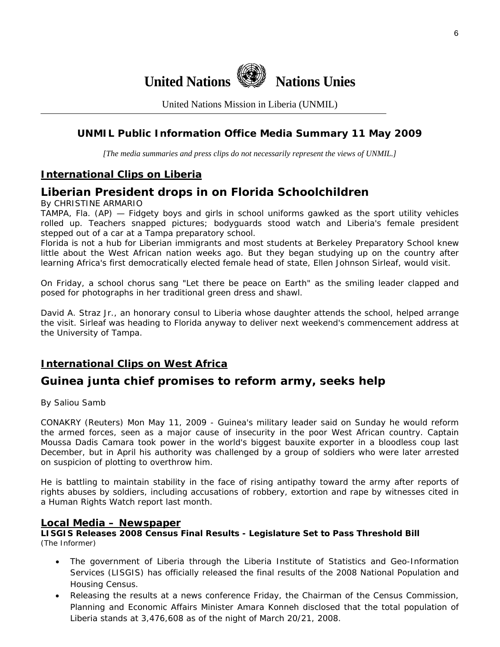

United Nations Mission in Liberia (UNMIL)

## **UNMIL Public Information Office Media Summary 11 May 2009**

*[The media summaries and press clips do not necessarily represent the views of UNMIL.]* 

### **International Clips on Liberia**

# **Liberian President drops in on Florida Schoolchildren**

By CHRISTINE ARMARIO

TAMPA, Fla. (AP) — Fidgety boys and girls in school uniforms gawked as the sport utility vehicles rolled up. Teachers snapped pictures; bodyguards stood watch and Liberia's female president stepped out of a car at a Tampa preparatory school.

Florida is not a hub for Liberian immigrants and most students at Berkeley Preparatory School knew little about the West African nation weeks ago. But they began studying up on the country after learning Africa's first democratically elected female head of state, Ellen Johnson Sirleaf, would visit.

On Friday, a school chorus sang "Let there be peace on Earth" as the smiling leader clapped and posed for photographs in her traditional green dress and shawl.

David A. Straz Jr., an honorary consul to Liberia whose daughter attends the school, helped arrange the visit. Sirleaf was heading to Florida anyway to deliver next weekend's commencement address at the University of Tampa.

# **International Clips on West Africa**

# **Guinea junta chief promises to reform army, seeks help**

By Saliou Samb

CONAKRY (Reuters) Mon May 11, 2009 - Guinea's military leader said on Sunday he would reform the armed forces, seen as a major cause of insecurity in the poor West African country. Captain Moussa Dadis Camara took power in the world's biggest bauxite exporter in a bloodless coup last December, but in April his authority was challenged by a group of soldiers who were later arrested on suspicion of plotting to overthrow him.

He is battling to maintain stability in the face of rising antipathy toward the army after reports of rights abuses by soldiers, including accusations of robbery, extortion and rape by witnesses cited in a Human Rights Watch report last month.

#### **Local Media – Newspaper**

**LISGIS Releases 2008 Census Final Results - Legislature Set to Pass Threshold Bill**  (The Informer)

- The government of Liberia through the Liberia Institute of Statistics and Geo-Information Services (LISGIS) has officially released the final results of the 2008 National Population and Housing Census.
- Releasing the results at a news conference Friday, the Chairman of the Census Commission, Planning and Economic Affairs Minister Amara Konneh disclosed that the total population of Liberia stands at 3,476,608 as of the night of March 20/21, 2008.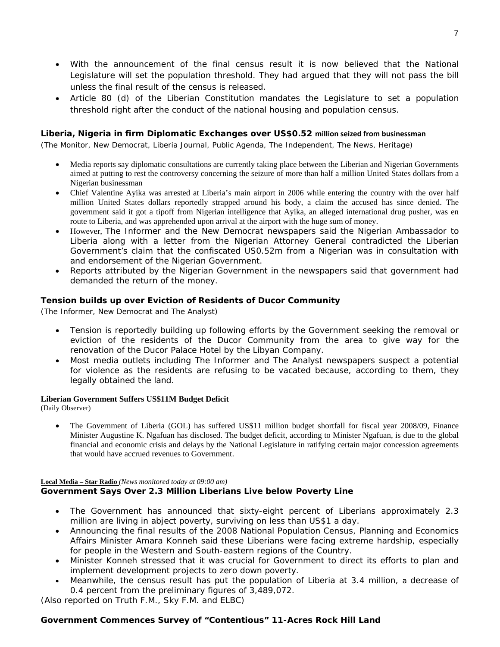- With the announcement of the final census result it is now believed that the National Legislature will set the population threshold. They had argued that they will not pass the bill unless the final result of the census is released.
- Article 80 (d) of the Liberian Constitution mandates the Legislature to set a population threshold right after the conduct of the national housing and population census.

#### **Liberia, Nigeria in firm Diplomatic Exchanges over US\$0.52 million seized from businessman**

(The Monitor, New Democrat, Liberia Journal, Public Agenda, The Independent, The News, Heritage)

- Media reports say diplomatic consultations are currently taking place between the Liberian and Nigerian Governments aimed at putting to rest the controversy concerning the seizure of more than half a million United States dollars from a Nigerian businessman
- Chief Valentine Ayika was arrested at Liberia's main airport in 2006 while entering the country with the over half million United States dollars reportedly strapped around his body, a claim the accused has since denied. The government said it got a tipoff from Nigerian intelligence that Ayika, an alleged international drug pusher, was en route to Liberia, and was apprehended upon arrival at the airport with the huge sum of money.
- However, The Informer and the New Democrat newspapers said the Nigerian Ambassador to Liberia along with a letter from the Nigerian Attorney General contradicted the Liberian Government's claim that the confiscated US0.52m from a Nigerian was in consultation with and endorsement of the Nigerian Government.
- Reports attributed by the Nigerian Government in the newspapers said that government had demanded the return of the money.

#### **Tension builds up over Eviction of Residents of Ducor Community**

(The Informer, New Democrat and The Analyst)

- Tension is reportedly building up following efforts by the Government seeking the removal or eviction of the residents of the Ducor Community from the area to give way for the renovation of the Ducor Palace Hotel by the Libyan Company.
- Most media outlets including *The Informer* and *The Analyst* newspapers suspect a potential for violence as the residents are refusing to be vacated because, according to them, they legally obtained the land.

#### **Liberian Government Suffers US\$11M Budget Deficit**

(Daily Observer)

• The Government of Liberia (GOL) has suffered US\$11 million budget shortfall for fiscal year 2008/09, Finance Minister Augustine K. Ngafuan has disclosed. The budget deficit, according to Minister Ngafuan, is due to the global financial and economic crisis and delays by the National Legislature in ratifying certain major concession agreements that would have accrued revenues to Government.

# **Local Media – Star Radio** *(News monitored today at 09:00 am)*

#### **Government Says Over 2.3 Million Liberians Live below Poverty Line**

- The Government has announced that sixty-eight percent of Liberians approximately 2.3 million are living in abject poverty, surviving on less than US\$1 a day.
- Announcing the final results of the 2008 National Population Census, Planning and Economics Affairs Minister Amara Konneh said these Liberians were facing extreme hardship, especially for people in the Western and South-eastern regions of the Country.
- Minister Konneh stressed that it was crucial for Government to direct its efforts to plan and implement development projects to zero down poverty.
- Meanwhile, the census result has put the population of Liberia at 3.4 million, a decrease of 0.4 percent from the preliminary figures of 3,489,072.

*(Also reported on Truth F.M., Sky F.M. and ELBC*)

#### **Government Commences Survey of "Contentious" 11-Acres Rock Hill Land**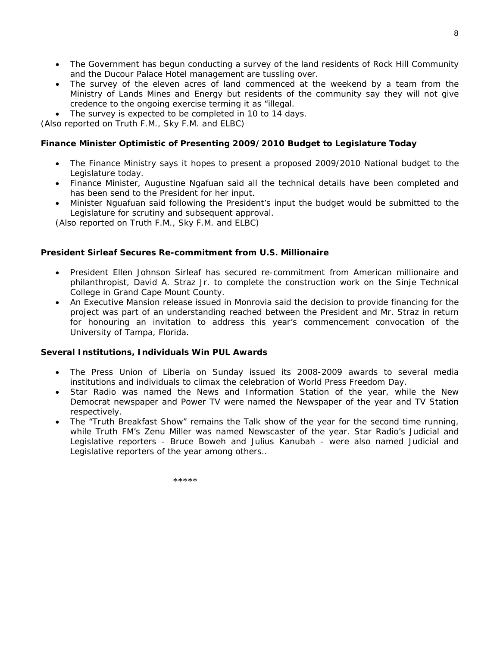- The Government has begun conducting a survey of the land residents of Rock Hill Community and the Ducour Palace Hotel management are tussling over.
- The survey of the eleven acres of land commenced at the weekend by a team from the Ministry of Lands Mines and Energy but residents of the community say they will not give credence to the ongoing exercise terming it as "illegal.
- The survey is expected to be completed in 10 to 14 days.

*(Also reported on Truth F.M., Sky F.M. and ELBC*)

#### **Finance Minister Optimistic of Presenting 2009/2010 Budget to Legislature Today**

- The Finance Ministry says it hopes to present a proposed 2009/2010 National budget to the Legislature today.
- Finance Minister, Augustine Ngafuan said all the technical details have been completed and has been send to the President for her input.
- Minister Nguafuan said following the President's input the budget would be submitted to the Legislature for scrutiny and subsequent approval.

*(Also reported on Truth F.M., Sky F.M. and ELBC*)

#### **President Sirleaf Secures Re-commitment from U.S. Millionaire**

- President Ellen Johnson Sirleaf has secured re-commitment from American millionaire and philanthropist, David A. Straz Jr. to complete the construction work on the Sinje Technical College in Grand Cape Mount County.
- An Executive Mansion release issued in Monrovia said the decision to provide financing for the project was part of an understanding reached between the President and Mr. Straz in return for honouring an invitation to address this year's commencement convocation of the University of Tampa, Florida.

#### **Several Institutions, Individuals Win PUL Awards**

- The Press Union of Liberia on Sunday issued its 2008-2009 awards to several media institutions and individuals to climax the celebration of World Press Freedom Day.
- Star Radio was named the News and Information Station of the year, while the New Democrat newspaper and Power TV were named the Newspaper of the year and TV Station respectively.
- The "Truth Breakfast Show" remains the Talk show of the year for the second time running, while Truth FM's Zenu Miller was named Newscaster of the year. Star Radio's Judicial and Legislative reporters - Bruce Boweh and Julius Kanubah - were also named Judicial and Legislative reporters of the year among others..

 $******$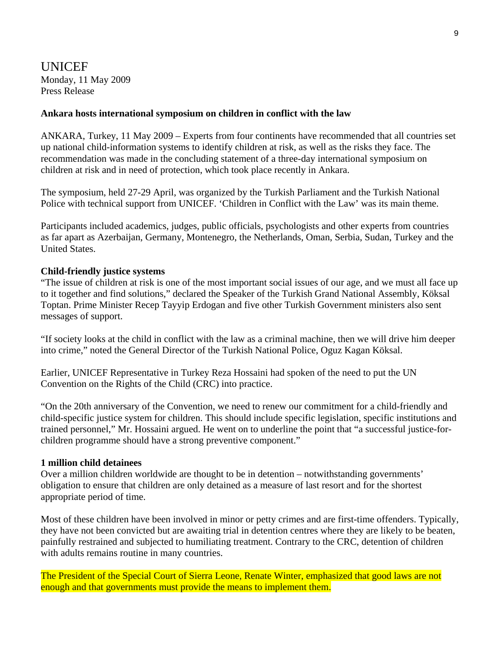## UNICEF Monday, 11 May 2009 Press Release

#### **Ankara hosts international symposium on children in conflict with the law**

ANKARA, Turkey, 11 May 2009 – Experts from four continents have recommended that all countries set up national child-information systems to identify children at risk, as well as the risks they face. The recommendation was made in the concluding statement of a three-day international symposium on children at risk and in need of protection, which took place recently in Ankara.

The symposium, held 27-29 April, was organized by the Turkish Parliament and the Turkish National Police with technical support from UNICEF. 'Children in Conflict with the Law' was its main theme.

Participants included academics, judges, public officials, psychologists and other experts from countries as far apart as Azerbaijan, Germany, Montenegro, the Netherlands, Oman, Serbia, Sudan, Turkey and the United States.

#### **Child-friendly justice systems**

"The issue of children at risk is one of the most important social issues of our age, and we must all face up to it together and find solutions," declared the Speaker of the Turkish Grand National Assembly, Köksal Toptan. Prime Minister Recep Tayyip Erdogan and five other Turkish Government ministers also sent messages of support.

"If society looks at the child in conflict with the law as a criminal machine, then we will drive him deeper into crime," noted the General Director of the Turkish National Police, Oguz Kagan Köksal.

Earlier, UNICEF Representative in Turkey Reza Hossaini had spoken of the need to put the UN Convention on the Rights of the Child (CRC) into practice.

"On the 20th anniversary of the Convention, we need to renew our commitment for a child-friendly and child-specific justice system for children. This should include specific legislation, specific institutions and trained personnel," Mr. Hossaini argued. He went on to underline the point that "a successful justice-forchildren programme should have a strong preventive component."

#### **1 million child detainees**

Over a million children worldwide are thought to be in detention – notwithstanding governments' obligation to ensure that children are only detained as a measure of last resort and for the shortest appropriate period of time.

Most of these children have been involved in minor or petty crimes and are first-time offenders. Typically, they have not been convicted but are awaiting trial in detention centres where they are likely to be beaten, painfully restrained and subjected to humiliating treatment. Contrary to the CRC, detention of children with adults remains routine in many countries.

The President of the Special Court of Sierra Leone, Renate Winter, emphasized that good laws are not enough and that governments must provide the means to implement them.